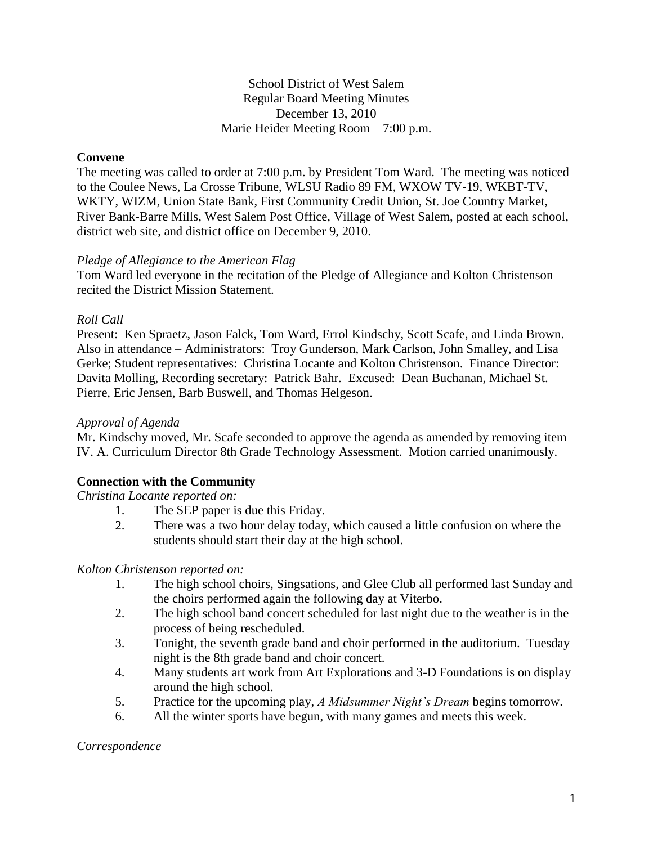## School District of West Salem Regular Board Meeting Minutes December 13, 2010 Marie Heider Meeting Room – 7:00 p.m.

## **Convene**

The meeting was called to order at 7:00 p.m. by President Tom Ward. The meeting was noticed to the Coulee News, La Crosse Tribune, WLSU Radio 89 FM, WXOW TV-19, WKBT-TV, WKTY, WIZM, Union State Bank, First Community Credit Union, St. Joe Country Market, River Bank-Barre Mills, West Salem Post Office, Village of West Salem, posted at each school, district web site, and district office on December 9, 2010.

#### *Pledge of Allegiance to the American Flag*

Tom Ward led everyone in the recitation of the Pledge of Allegiance and Kolton Christenson recited the District Mission Statement.

## *Roll Call*

Present: Ken Spraetz, Jason Falck, Tom Ward, Errol Kindschy, Scott Scafe, and Linda Brown. Also in attendance – Administrators: Troy Gunderson, Mark Carlson, John Smalley, and Lisa Gerke; Student representatives: Christina Locante and Kolton Christenson. Finance Director: Davita Molling, Recording secretary: Patrick Bahr. Excused: Dean Buchanan, Michael St. Pierre, Eric Jensen, Barb Buswell, and Thomas Helgeson.

#### *Approval of Agenda*

Mr. Kindschy moved, Mr. Scafe seconded to approve the agenda as amended by removing item IV. A. Curriculum Director 8th Grade Technology Assessment. Motion carried unanimously.

# **Connection with the Community**

*Christina Locante reported on:*

- 1. The SEP paper is due this Friday.
- 2. There was a two hour delay today, which caused a little confusion on where the students should start their day at the high school.

#### *Kolton Christenson reported on:*

- 1. The high school choirs, Singsations, and Glee Club all performed last Sunday and the choirs performed again the following day at Viterbo.
- 2. The high school band concert scheduled for last night due to the weather is in the process of being rescheduled.
- 3. Tonight, the seventh grade band and choir performed in the auditorium. Tuesday night is the 8th grade band and choir concert.
- 4. Many students art work from Art Explorations and 3-D Foundations is on display around the high school.
- 5. Practice for the upcoming play, *A Midsummer Night's Dream* begins tomorrow.
- 6. All the winter sports have begun, with many games and meets this week.

*Correspondence*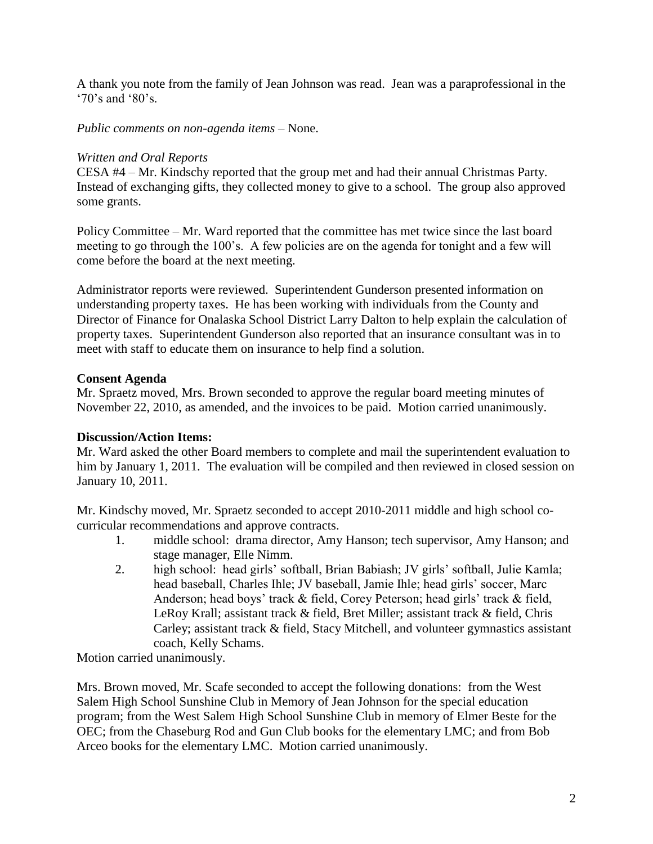A thank you note from the family of Jean Johnson was read. Jean was a paraprofessional in the '70's and '80's.

*Public comments on non-agenda items –* None.

### *Written and Oral Reports*

CESA #4 – Mr. Kindschy reported that the group met and had their annual Christmas Party. Instead of exchanging gifts, they collected money to give to a school. The group also approved some grants.

Policy Committee – Mr. Ward reported that the committee has met twice since the last board meeting to go through the 100's. A few policies are on the agenda for tonight and a few will come before the board at the next meeting.

Administrator reports were reviewed. Superintendent Gunderson presented information on understanding property taxes. He has been working with individuals from the County and Director of Finance for Onalaska School District Larry Dalton to help explain the calculation of property taxes. Superintendent Gunderson also reported that an insurance consultant was in to meet with staff to educate them on insurance to help find a solution.

## **Consent Agenda**

Mr. Spraetz moved, Mrs. Brown seconded to approve the regular board meeting minutes of November 22, 2010, as amended, and the invoices to be paid. Motion carried unanimously.

#### **Discussion/Action Items:**

Mr. Ward asked the other Board members to complete and mail the superintendent evaluation to him by January 1, 2011. The evaluation will be compiled and then reviewed in closed session on January 10, 2011.

Mr. Kindschy moved, Mr. Spraetz seconded to accept 2010-2011 middle and high school cocurricular recommendations and approve contracts.

- 1. middle school: drama director, Amy Hanson; tech supervisor, Amy Hanson; and stage manager, Elle Nimm.
- 2. high school: head girls' softball, Brian Babiash; JV girls' softball, Julie Kamla; head baseball, Charles Ihle; JV baseball, Jamie Ihle; head girls' soccer, Marc Anderson; head boys' track & field, Corey Peterson; head girls' track & field, LeRoy Krall; assistant track & field, Bret Miller; assistant track & field, Chris Carley; assistant track & field, Stacy Mitchell, and volunteer gymnastics assistant coach, Kelly Schams.

Motion carried unanimously.

Mrs. Brown moved, Mr. Scafe seconded to accept the following donations: from the West Salem High School Sunshine Club in Memory of Jean Johnson for the special education program; from the West Salem High School Sunshine Club in memory of Elmer Beste for the OEC; from the Chaseburg Rod and Gun Club books for the elementary LMC; and from Bob Arceo books for the elementary LMC. Motion carried unanimously.